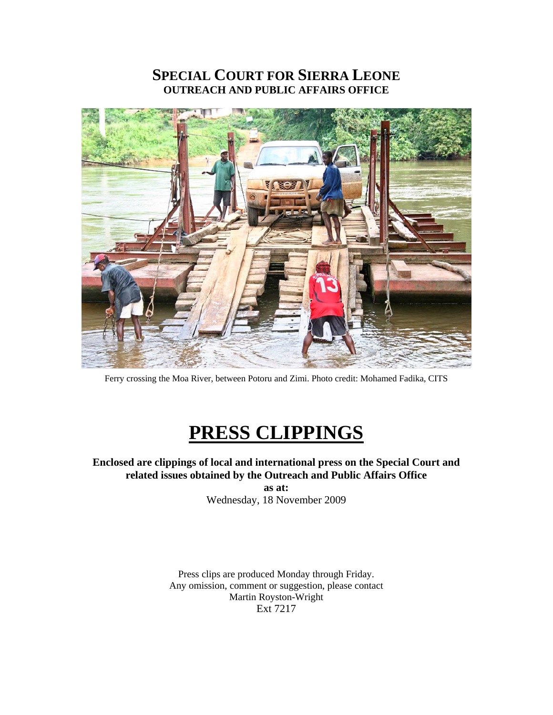# **SPECIAL COURT FOR SIERRA LEONE OUTREACH AND PUBLIC AFFAIRS OFFICE**



Ferry crossing the Moa River, between Potoru and Zimi. Photo credit: Mohamed Fadika, CITS

# **PRESS CLIPPINGS**

**Enclosed are clippings of local and international press on the Special Court and related issues obtained by the Outreach and Public Affairs Office as at:** 

Wednesday, 18 November 2009

Press clips are produced Monday through Friday. Any omission, comment or suggestion, please contact Martin Royston-Wright Ext 7217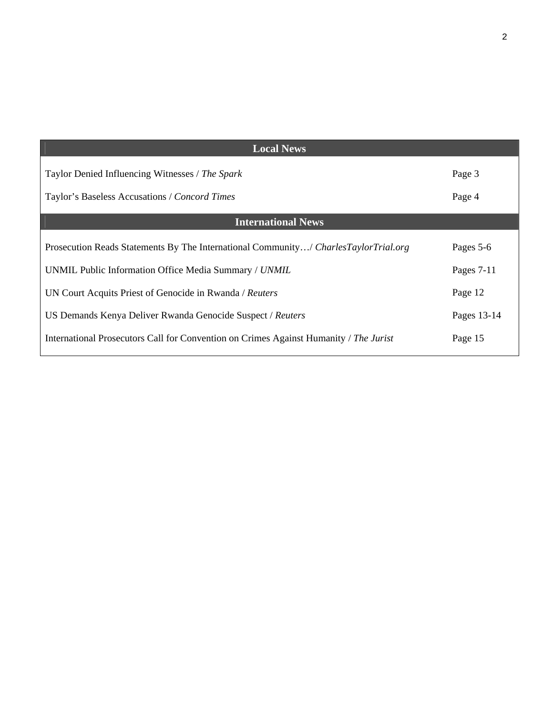| <b>Local News</b>                                                                     |             |
|---------------------------------------------------------------------------------------|-------------|
| Taylor Denied Influencing Witnesses / The Spark                                       | Page 3      |
| Taylor's Baseless Accusations / Concord Times                                         | Page 4      |
| <b>International News</b>                                                             |             |
| Prosecution Reads Statements By The International Community/ CharlesTaylorTrial.org   | Pages 5-6   |
| UNMIL Public Information Office Media Summary / UNMIL                                 | Pages 7-11  |
| UN Court Acquits Priest of Genocide in Rwanda / Reuters                               | Page 12     |
| US Demands Kenya Deliver Rwanda Genocide Suspect / Reuters                            | Pages 13-14 |
| International Prosecutors Call for Convention on Crimes Against Humanity / The Jurist | Page 15     |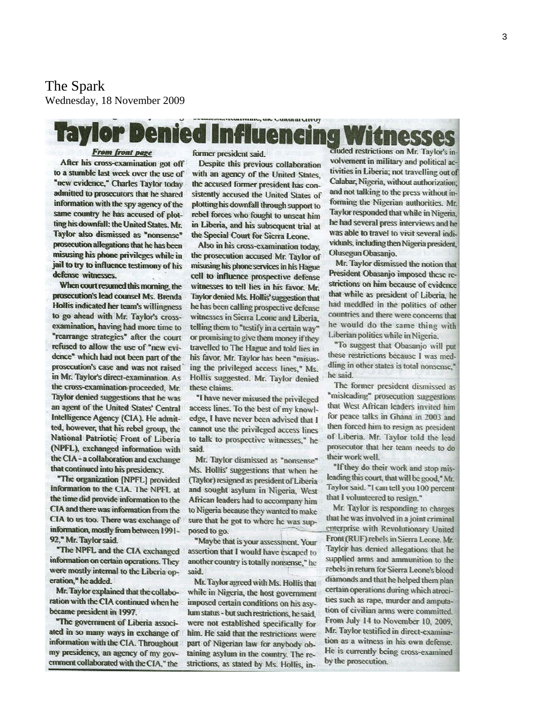The Spark

Wednesday, 18 November 2009

ing un Cultural Gilly **enied Influ** 

**From front page** 

After his cross-examination got off to a stumble last week over the use of "new evidence," Charles Taylor today admitted to prosecutors that he shared information with the spy agency of the same country he has accused of plotting his downfall: the United States. Mr. Taylor also dismissed as "nonsense" prosecution allegations that he has been misusing his phone privileges while in jail to try to influence testimony of his defense witnesses.

When court resumed this morning, the prosecution's lead counsel Ms. Brenda Hollis indicated her team's willingness to go ahead with Mr. Taylor's crossexamination, having had more time to "rearrange strategies" after the court refused to allow the use of "new evidence" which had not been part of the prosecution's case and was not raised in Mr. Taylor's direct-examination. As the cross-examination-proceeded, Mr. Taylor denied suggestions that he was an agent of the United States' Central Intelligence Agency (CIA). He admitted, however, that his rebel group, the National Patriotic Front of Liberia (NPFL), exchanged information with the CIA - a collaboration and exchange that continued into his presidency.

"The organization [NPFL] provided information to the CIA. The NPFL at the time did provide information to the CIA and there was information from the CIA to us too. There was exchange of information, mostly from between 1991-92," Mr. Taylor said.

"The NPFL and the CIA exchanged information on certain operations. They were mostly internal to the Liberia operation," he added.

Mr. Taylor explained that the collaboration with the CIA continued when he became president in 1997.

"The government of Liberia associated in so many ways in exchange of information with the CIA. Throughout my presidency, an agency of my government collaborated with the CIA," the

former president said.

Despite this previous collaboration with an agency of the United States. the accused former president has consistently accused the United States of plotting his downfall through support to rebel forces who fought to unseat him in Liberia, and his subsequent trial at the Special Court for Sierra Leone.

Also in his cross-examination today. the prosecution accused Mr. Taylor of misusing his phone services in his Hague cell to influence prospective defense witnesses to tell lies in his favor. Mr. Taylor denied Ms. Hollis' suggestion that he has been calling prospective defense witnesses in Sierra Leone and Liberia. telling them to "testify in a certain way" or promising to give them money if they travelled to The Hague and told lies in his favor. Mr. Taylor has been "misusing the privileged access lines," Ms. Hollis suggested. Mr. Taylor denied these claims.

"I have never misused the privileged access lines. To the best of my knowledge, I have never been advised that I cannot use the privileged access lines to talk to prospective witnesses," he said.

Mr. Taylor dismissed as "nonsense" Ms. Hollis' suggestions that when he (Taylor) resigned as president of Liberia and sought asylum in Nigeria, West African leaders had to accompany him to Nigeria because they wanted to make sure that he got to where he was supposed to go.

"Maybe that is your assessment. Your assertion that I would have escaped to another country is totally nonsense," he said.

Mr. Taylor agreed with Ms. Hollis that while in Nigeria, the host government imposed certain conditions on his asylum status - but such restrictions, he said, were not established specifically for him. He said that the restrictions were part of Nigerian law for anybody obtaining asylum in the country. The restrictions, as stated by Ms. Hollis, in-

cluded restrictions on Mr. Taylor's involvement in military and political activities in Liberia; not travelling out of Calabar, Nigeria, without authorization: and not talking to the press without informing the Nigerian authorities. Mr. Taylor responded that while in Nigeria. he had several press interviews and he was able to travel to visit several individuals, including then Nigeria president, Olusegun Obasanjo.

Mr. Taylor dismissed the notion that President Obasanjo imposed these restrictions on him because of evidence that while as president of Liberia, he had meddled in the politics of other countries and there were concerns that he would do the same thing with Liberian politics while in Nigeria.

"To suggest that Obasanjo will put these restrictions because I was meddling in other states is total nonsense," he said.

The former president dismissed as "misleading" prosecution suggestions that West African leaders invited him for peace talks in Ghana in 2003 and then forced him to resign as president of Liberia. Mr. Taylor told the lead prosecutor that her team needs to do their work well.

"If they do their work and stop misleading this court, that will be good," Mr. Taylor said. "I can tell you 100 percent that I volunteered to resign."

Mr. Taylor is responding to charges that he was involved in a joint criminal enterprise with Revolutionary United Front (RUF) rebels in Sierra Leone. Mr. Taylor has denied allegations that he supplied arms and ammunition to the rebels in return for Sierra Leone's blood diamonds and that he helped them plan certain operations during which atrocities such as rape, murder and amputation of civilian arms were committed. From July 14 to November 10, 2009, Mr. Taylor testified in direct-examination as a witness in his own defense. He is currently being cross-examined by the prosecution.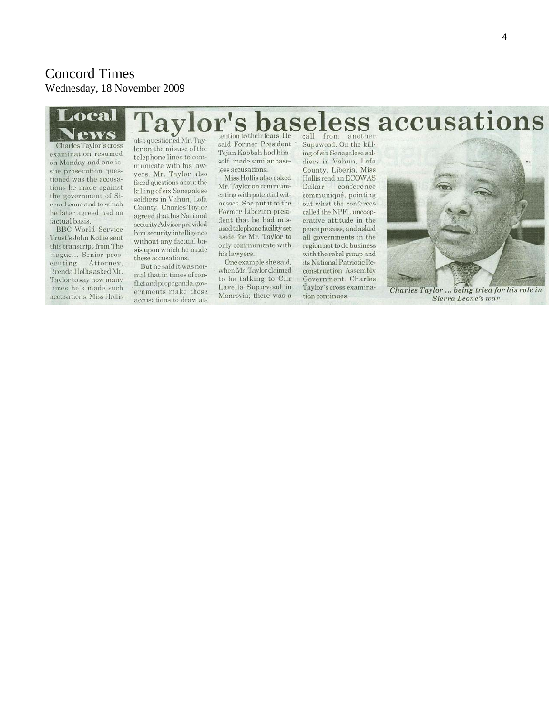## Concord Times Wednesday, 18 November 2009

# ocal ews

#### Taylor's baseless accusations tention to their fears. He call from another

Charles Taylor's cross examination resumed on Monday and one issue prosecution questioned was the accusations he made against the government of Sierra Leone and to which he later agreed had no factual basis.

**BBC** World Service Trust's John Kollie sent this transcript from The Hague... Senior prosecuting Attorney. Brenda Hollis asked Mr. Taylor to say how many times he's made such accusations. Miss Hollis also questioned Mr. Taylor on the misuse of the telephone lines to communicate with his lawyers. Mr. Taylor also faced questions about the killing of six Senegalese soldiers in Vahun, Lofa County. Charles Taylor agreed that his National security Advisor provided him security intelligence without any factual basis upon which he made these accusations.

But he said it was normal that in times of conflict and propaganda, governments make these accusations to draw atsaid Former President Tejan Kabbah had himself made similar baseless accusations.

Miss Hollis also asked Mr. Taylor on communicating with potential witnesses. She put it to the Former Liberian president that he had misused telephone facility set aside for Mr. Taylor to only communicate with his lawyers.

One example she said, when Mr. Taylor claimed to be talking to Cllr Lavella Supuwood in Monrovia; there was a Supuwood. On the killing of six Senegalese soldiers in Vahun, Lofa County, Liberia, Miss Hollis read an ECOWAS Dakar conference communiqué, pointing out what the conferees called the NPFL uncooperative attitude in the peace process, and asked all governments in the region not to do business with the rebel group and its National Patriotic Reconstruction Assembly Government. Charles Taylor's cross examination continues.



Charles Taylor ... being tried for his role in Sierra Leone's war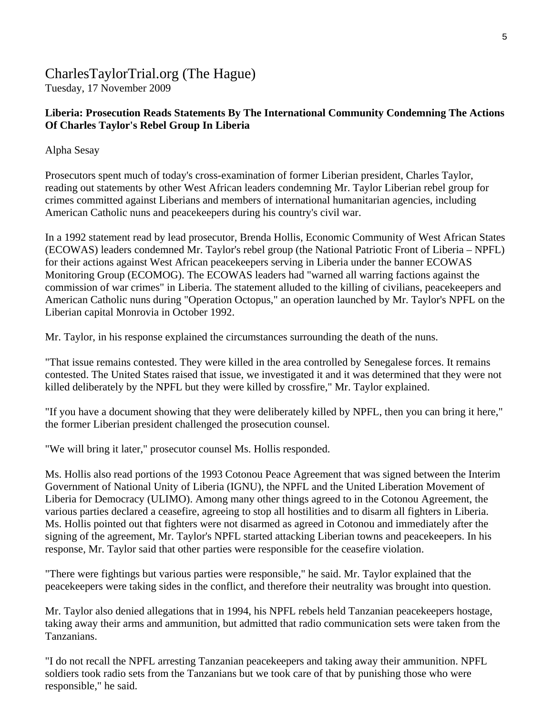# CharlesTaylorTrial.org (The Hague)

Tuesday, 17 November 2009

## **Liberia: Prosecution Reads Statements By The International Community Condemning The Actions Of Charles Taylor's Rebel Group In Liberia**

Alpha Sesay

Prosecutors spent much of today's cross-examination of former Liberian president, Charles Taylor, reading out statements by other West African leaders condemning Mr. Taylor Liberian rebel group for crimes committed against Liberians and members of international humanitarian agencies, including American Catholic nuns and peacekeepers during his country's civil war.

In a 1992 statement read by lead prosecutor, Brenda Hollis, Economic Community of West African States (ECOWAS) leaders condemned Mr. Taylor's rebel group (the National Patriotic Front of Liberia – NPFL) for their actions against West African peacekeepers serving in Liberia under the banner ECOWAS Monitoring Group (ECOMOG). The ECOWAS leaders had "warned all warring factions against the commission of war crimes" in Liberia. The statement alluded to the killing of civilians, peacekeepers and American Catholic nuns during "Operation Octopus," an operation launched by Mr. Taylor's NPFL on the Liberian capital Monrovia in October 1992.

Mr. Taylor, in his response explained the circumstances surrounding the death of the nuns.

"That issue remains contested. They were killed in the area controlled by Senegalese forces. It remains contested. The United States raised that issue, we investigated it and it was determined that they were not killed deliberately by the NPFL but they were killed by crossfire," Mr. Taylor explained.

"If you have a document showing that they were deliberately killed by NPFL, then you can bring it here," the former Liberian president challenged the prosecution counsel.

"We will bring it later," prosecutor counsel Ms. Hollis responded.

Ms. Hollis also read portions of the 1993 Cotonou Peace Agreement that was signed between the Interim Government of National Unity of Liberia (IGNU), the NPFL and the United Liberation Movement of Liberia for Democracy (ULIMO). Among many other things agreed to in the Cotonou Agreement, the various parties declared a ceasefire, agreeing to stop all hostilities and to disarm all fighters in Liberia. Ms. Hollis pointed out that fighters were not disarmed as agreed in Cotonou and immediately after the signing of the agreement, Mr. Taylor's NPFL started attacking Liberian towns and peacekeepers. In his response, Mr. Taylor said that other parties were responsible for the ceasefire violation.

"There were fightings but various parties were responsible," he said. Mr. Taylor explained that the peacekeepers were taking sides in the conflict, and therefore their neutrality was brought into question.

Mr. Taylor also denied allegations that in 1994, his NPFL rebels held Tanzanian peacekeepers hostage, taking away their arms and ammunition, but admitted that radio communication sets were taken from the Tanzanians.

"I do not recall the NPFL arresting Tanzanian peacekeepers and taking away their ammunition. NPFL soldiers took radio sets from the Tanzanians but we took care of that by punishing those who were responsible," he said.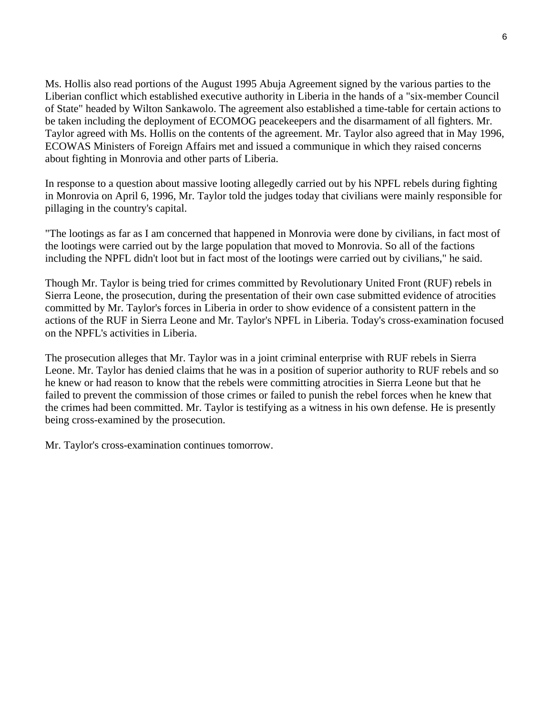Ms. Hollis also read portions of the August 1995 Abuja Agreement signed by the various parties to the Liberian conflict which established executive authority in Liberia in the hands of a "six-member Council of State" headed by Wilton Sankawolo. The agreement also established a time-table for certain actions to be taken including the deployment of ECOMOG peacekeepers and the disarmament of all fighters. Mr. Taylor agreed with Ms. Hollis on the contents of the agreement. Mr. Taylor also agreed that in May 1996, ECOWAS Ministers of Foreign Affairs met and issued a communique in which they raised concerns about fighting in Monrovia and other parts of Liberia.

In response to a question about massive looting allegedly carried out by his NPFL rebels during fighting in Monrovia on April 6, 1996, Mr. Taylor told the judges today that civilians were mainly responsible for pillaging in the country's capital.

"The lootings as far as I am concerned that happened in Monrovia were done by civilians, in fact most of the lootings were carried out by the large population that moved to Monrovia. So all of the factions including the NPFL didn't loot but in fact most of the lootings were carried out by civilians," he said.

Though Mr. Taylor is being tried for crimes committed by Revolutionary United Front (RUF) rebels in Sierra Leone, the prosecution, during the presentation of their own case submitted evidence of atrocities committed by Mr. Taylor's forces in Liberia in order to show evidence of a consistent pattern in the actions of the RUF in Sierra Leone and Mr. Taylor's NPFL in Liberia. Today's cross-examination focused on the NPFL's activities in Liberia.

The prosecution alleges that Mr. Taylor was in a joint criminal enterprise with RUF rebels in Sierra Leone. Mr. Taylor has denied claims that he was in a position of superior authority to RUF rebels and so he knew or had reason to know that the rebels were committing atrocities in Sierra Leone but that he failed to prevent the commission of those crimes or failed to punish the rebel forces when he knew that the crimes had been committed. Mr. Taylor is testifying as a witness in his own defense. He is presently being cross-examined by the prosecution.

Mr. Taylor's cross-examination continues tomorrow.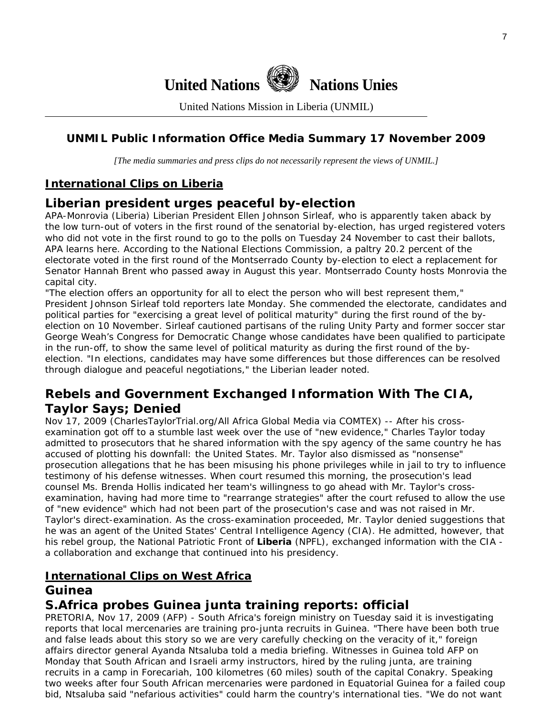

United Nations Mission in Liberia (UNMIL)

# **UNMIL Public Information Office Media Summary 17 November 2009**

*[The media summaries and press clips do not necessarily represent the views of UNMIL.]* 

# **International Clips on Liberia**

# **Liberian president urges peaceful by-election**

APA-Monrovia (Liberia) Liberian President Ellen Johnson Sirleaf, who is apparently taken aback by the low turn-out of voters in the first round of the senatorial by-election, has urged registered voters who did not vote in the first round to go to the polls on Tuesday 24 November to cast their ballots, APA learns here. According to the National Elections Commission, a paltry 20.2 percent of the electorate voted in the first round of the Montserrado County by-election to elect a replacement for Senator Hannah Brent who passed away in August this year. Montserrado County hosts Monrovia the capital city.

"The election offers an opportunity for all to elect the person who will best represent them," President Johnson Sirleaf told reporters late Monday. She commended the electorate, candidates and political parties for "exercising a great level of political maturity" during the first round of the byelection on 10 November. Sirleaf cautioned partisans of the ruling Unity Party and former soccer star George Weah's Congress for Democratic Change whose candidates have been qualified to participate in the run-off, to show the same level of political maturity as during the first round of the byelection. "In elections, candidates may have some differences but those differences can be resolved through dialogue and peaceful negotiations," the Liberian leader noted.

# **Rebels and Government Exchanged Information With The CIA, Taylor Says; Denied**

Nov 17, 2009 (CharlesTaylorTrial.org/All Africa Global Media via COMTEX) -- After his crossexamination got off to a stumble last week over the use of "new evidence," Charles Taylor today admitted to prosecutors that he shared information with the spy agency of the same country he has accused of plotting his downfall: the United States. Mr. Taylor also dismissed as "nonsense" prosecution allegations that he has been misusing his phone privileges while in jail to try to influence testimony of his defense witnesses. When court resumed this morning, the prosecution's lead counsel Ms. Brenda Hollis indicated her team's willingness to go ahead with Mr. Taylor's crossexamination, having had more time to "rearrange strategies" after the court refused to allow the use of "new evidence" which had not been part of the prosecution's case and was not raised in Mr. Taylor's direct-examination. As the cross-examination proceeded, Mr. Taylor denied suggestions that he was an agent of the United States' Central Intelligence Agency (CIA). He admitted, however, that his rebel group, the National Patriotic Front of **Liberia** (NPFL), exchanged information with the CIA a collaboration and exchange that continued into his presidency.

# **International Clips on West Africa**

## **Guinea**

## **S.Africa probes Guinea junta training reports: official**

PRETORIA, Nov 17, 2009 (AFP) - South Africa's foreign ministry on Tuesday said it is investigating reports that local mercenaries are training pro-junta recruits in Guinea. "There have been both true and false leads about this story so we are very carefully checking on the veracity of it," foreign affairs director general Ayanda Ntsaluba told a media briefing. Witnesses in Guinea told AFP on Monday that South African and Israeli army instructors, hired by the ruling junta, are training recruits in a camp in Forecariah, 100 kilometres (60 miles) south of the capital Conakry. Speaking two weeks after four South African mercenaries were pardoned in Equatorial Guinea for a failed coup bid, Ntsaluba said "nefarious activities" could harm the country's international ties. "We do not want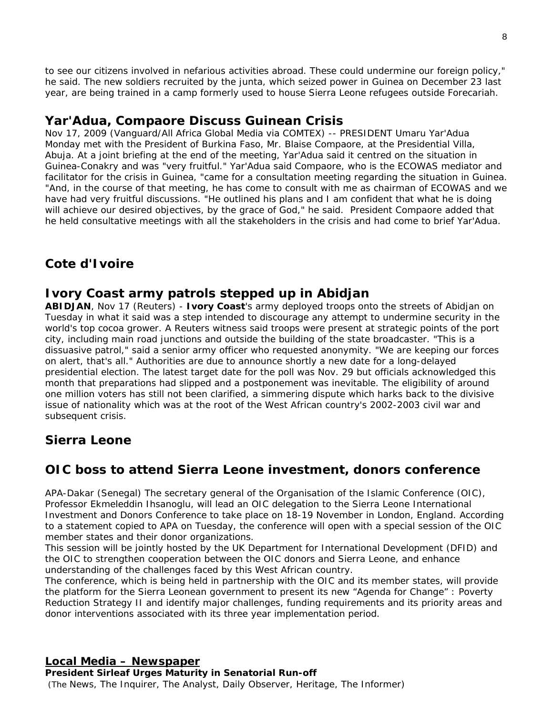to see our citizens involved in nefarious activities abroad. These could undermine our foreign policy," he said. The new soldiers recruited by the junta, which seized power in Guinea on December 23 last year, are being trained in a camp formerly used to house Sierra Leone refugees outside Forecariah.

# **Yar'Adua, Compaore Discuss Guinean Crisis**

Nov 17, 2009 (Vanguard/All Africa Global Media via COMTEX) -- PRESIDENT Umaru Yar'Adua Monday met with the President of Burkina Faso, Mr. Blaise Compaore, at the Presidential Villa, Abuja. At a joint briefing at the end of the meeting, Yar'Adua said it centred on the situation in Guinea-Conakry and was "very fruitful." Yar'Adua said Compaore, who is the ECOWAS mediator and facilitator for the crisis in Guinea, "came for a consultation meeting regarding the situation in Guinea. "And, in the course of that meeting, he has come to consult with me as chairman of ECOWAS and we have had very fruitful discussions. "He outlined his plans and I am confident that what he is doing will achieve our desired objectives, by the grace of God," he said. President Compaore added that he held consultative meetings with all the stakeholders in the crisis and had come to brief Yar'Adua.

# **Cote d'Ivoire**

# **Ivory Coast army patrols stepped up in Abidjan**

**ABIDJAN**, Nov 17 (Reuters) - **Ivory Coast**'s army deployed troops onto the streets of Abidjan on Tuesday in what it said was a step intended to discourage any attempt to undermine security in the world's top cocoa grower. A Reuters witness said troops were present at strategic points of the port city, including main road junctions and outside the building of the state broadcaster. "This is a dissuasive patrol," said a senior army officer who requested anonymity. "We are keeping our forces on alert, that's all." Authorities are due to announce shortly a new date for a long-delayed presidential election. The latest target date for the poll was Nov. 29 but officials acknowledged this month that preparations had slipped and a postponement was inevitable. The eligibility of around one million voters has still not been clarified, a simmering dispute which harks back to the divisive issue of nationality which was at the root of the West African country's 2002-2003 civil war and subsequent crisis.

# **Sierra Leone**

# **OIC boss to attend Sierra Leone investment, donors conference**

APA-Dakar (Senegal) The secretary general of the Organisation of the Islamic Conference (OIC), Professor Ekmeleddin Ihsanoglu, will lead an OIC delegation to the Sierra Leone International Investment and Donors Conference to take place on 18-19 November in London, England. According to a statement copied to APA on Tuesday, the conference will open with a special session of the OIC member states and their donor organizations.

This session will be jointly hosted by the UK Department for International Development (DFID) and the OIC to strengthen cooperation between the OIC donors and Sierra Leone, and enhance understanding of the challenges faced by this West African country.

The conference, which is being held in partnership with the OIC and its member states, will provide the platform for the Sierra Leonean government to present its new "Agenda for Change" : Poverty Reduction Strategy II and identify major challenges, funding requirements and its priority areas and donor interventions associated with its three year implementation period.

**Local Media – Newspaper**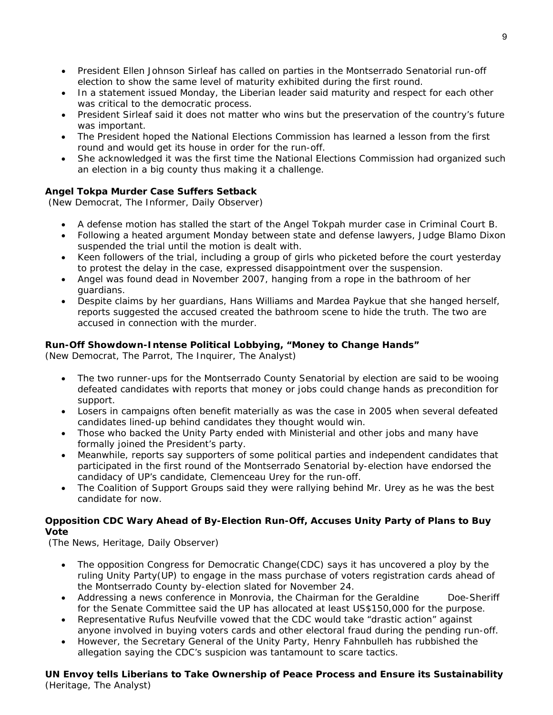- President Ellen Johnson Sirleaf has called on parties in the Montserrado Senatorial run-off election to show the same level of maturity exhibited during the first round.
- In a statement issued Monday, the Liberian leader said maturity and respect for each other was critical to the democratic process.
- President Sirleaf said it does not matter who wins but the preservation of the country's future was important.
- The President hoped the National Elections Commission has learned a lesson from the first round and would get its house in order for the run-off.
- She acknowledged it was the first time the National Elections Commission had organized such an election in a big county thus making it a challenge.

#### **Angel Tokpa Murder Case Suffers Setback**

(New Democrat, The Informer, Daily Observer)

- A defense motion has stalled the start of the Angel Tokpah murder case in Criminal Court B.
- Following a heated argument Monday between state and defense lawyers, Judge Blamo Dixon suspended the trial until the motion is dealt with.
- Keen followers of the trial, including a group of girls who picketed before the court yesterday to protest the delay in the case, expressed disappointment over the suspension.
- Angel was found dead in November 2007, hanging from a rope in the bathroom of her guardians.
- Despite claims by her guardians, Hans Williams and Mardea Paykue that she hanged herself, reports suggested the accused created the bathroom scene to hide the truth. The two are accused in connection with the murder.

#### **Run-Off Showdown-Intense Political Lobbying, "Money to Change Hands"**

(New Democrat, The Parrot, The Inquirer, The Analyst)

- The two runner-ups for the Montserrado County Senatorial by election are said to be wooing defeated candidates with reports that money or jobs could change hands as precondition for support.
- Losers in campaigns often benefit materially as was the case in 2005 when several defeated candidates lined-up behind candidates they thought would win.
- Those who backed the Unity Party ended with Ministerial and other jobs and many have formally joined the President's party.
- Meanwhile, reports say supporters of some political parties and independent candidates that participated in the first round of the Montserrado Senatorial by-election have endorsed the candidacy of UP's candidate, Clemenceau Urey for the run-off.
- The Coalition of Support Groups said they were rallying behind Mr. Urey as he was the best candidate for now.

#### **Opposition CDC Wary Ahead of By-Election Run-Off, Accuses Unity Party of Plans to Buy Vote**

(The News, Heritage, Daily Observer)

- The opposition Congress for Democratic Change(CDC) says it has uncovered a ploy by the ruling Unity Party(UP) to engage in the mass purchase of voters registration cards ahead of the Montserrado County by-election slated for November 24.
- Addressing a news conference in Monrovia, the Chairman for the Geraldine Doe-Sheriff for the Senate Committee said the UP has allocated at least US\$150,000 for the purpose.
- Representative Rufus Neufville vowed that the CDC would take "drastic action" against anyone involved in buying voters cards and other electoral fraud during the pending run-off.
- However, the Secretary General of the Unity Party, Henry Fahnbulleh has rubbished the allegation saying the CDC's suspicion was tantamount to scare tactics.

#### **UN Envoy tells Liberians to Take Ownership of Peace Process and Ensure its Sustainability**  (Heritage, The Analyst)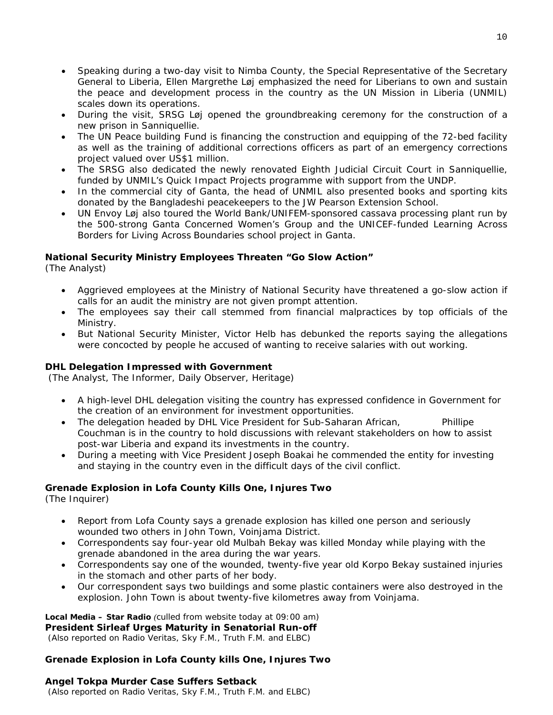- Speaking during a two-day visit to Nimba County, the Special Representative of the Secretary General to Liberia, Ellen Margrethe Løj emphasized the need for Liberians to own and sustain the peace and development process in the country as the UN Mission in Liberia (UNMIL) scales down its operations.
- During the visit, SRSG Løj opened the groundbreaking ceremony for the construction of a new prison in Sanniquellie.
- The UN Peace building Fund is financing the construction and equipping of the 72-bed facility as well as the training of additional corrections officers as part of an emergency corrections project valued over US\$1 million.
- The SRSG also dedicated the newly renovated Eighth Judicial Circuit Court in Sanniquellie, funded by UNMIL's Quick Impact Projects programme with support from the UNDP.
- In the commercial city of Ganta, the head of UNMIL also presented books and sporting kits donated by the Bangladeshi peacekeepers to the JW Pearson Extension School.
- UN Envoy Løj also toured the World Bank/UNIFEM-sponsored cassava processing plant run by the 500-strong Ganta Concerned Women's Group and the UNICEF-funded Learning Across Borders for Living Across Boundaries school project in Ganta.

#### **National Security Ministry Employees Threaten "Go Slow Action"**

(The Analyst)

- Aggrieved employees at the Ministry of National Security have threatened a go-slow action if calls for an audit the ministry are not given prompt attention.
- The employees say their call stemmed from financial malpractices by top officials of the Ministry.
- But National Security Minister, Victor Helb has debunked the reports saying the allegations were concocted by people he accused of wanting to receive salaries with out working.

#### **DHL Delegation Impressed with Government**

(The Analyst, The Informer, Daily Observer, Heritage)

- A high-level DHL delegation visiting the country has expressed confidence in Government for the creation of an environment for investment opportunities.
- The delegation headed by DHL Vice President for Sub-Saharan African, Phillipe Couchman is in the country to hold discussions with relevant stakeholders on how to assist post-war Liberia and expand its investments in the country.
- During a meeting with Vice President Joseph Boakai he commended the entity for investing and staying in the country even in the difficult days of the civil conflict.

#### **Grenade Explosion in Lofa County Kills One, Injures Two**

(The Inquirer)

- Report from Lofa County says a grenade explosion has killed one person and seriously wounded two others in John Town, Voinjama District.
- Correspondents say four-year old Mulbah Bekay was killed Monday while playing with the grenade abandoned in the area during the war years.
- Correspondents say one of the wounded, twenty-five year old Korpo Bekay sustained injuries in the stomach and other parts of her body.
- Our correspondent says two buildings and some plastic containers were also destroyed in the explosion. John Town is about twenty-five kilometres away from Voinjama.

# **Local Media – Star Radio** *(culled from website today at 09:00 am)*

**President Sirleaf Urges Maturity in Senatorial Run-off** 

 *(Also reported on Radio Veritas, Sky F.M., Truth F.M. and ELBC)*

#### **Grenade Explosion in Lofa County kills One, Injures Two**

#### **Angel Tokpa Murder Case Suffers Setback**

 *(Also reported on Radio Veritas, Sky F.M., Truth F.M. and ELBC)*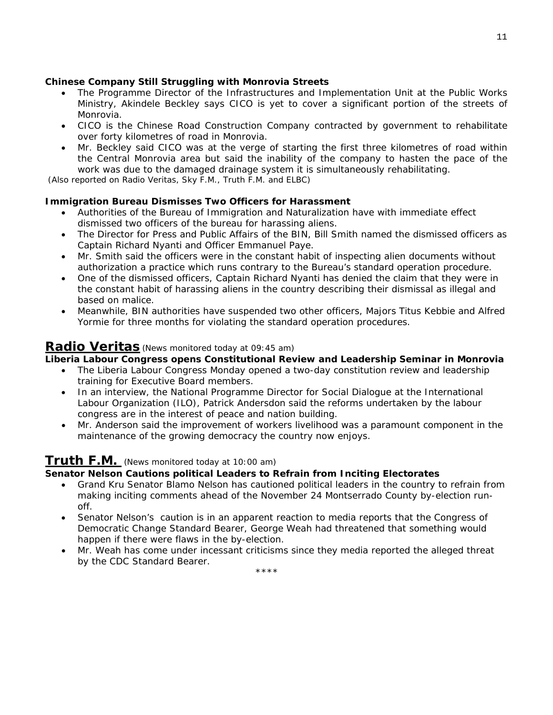#### **Chinese Company Still Struggling with Monrovia Streets**

- The Programme Director of the Infrastructures and Implementation Unit at the Public Works Ministry, Akindele Beckley says CICO is yet to cover a significant portion of the streets of Monrovia.
- CICO is the Chinese Road Construction Company contracted by government to rehabilitate over forty kilometres of road in Monrovia.
- Mr. Beckley said CICO was at the verge of starting the first three kilometres of road within the Central Monrovia area but said the inability of the company to hasten the pace of the work was due to the damaged drainage system it is simultaneously rehabilitating.

 *(Also reported on Radio Veritas, Sky F.M., Truth F.M. and ELBC)*

#### **Immigration Bureau Dismisses Two Officers for Harassment**

- Authorities of the Bureau of Immigration and Naturalization have with immediate effect dismissed two officers of the bureau for harassing aliens.
- The Director for Press and Public Affairs of the BIN, Bill Smith named the dismissed officers as Captain Richard Nyanti and Officer Emmanuel Paye.
- Mr. Smith said the officers were in the constant habit of inspecting alien documents without authorization a practice which runs contrary to the Bureau's standard operation procedure.
- One of the dismissed officers, Captain Richard Nyanti has denied the claim that they were in the constant habit of harassing aliens in the country describing their dismissal as illegal and based on malice.
- Meanwhile, BIN authorities have suspended two other officers, Majors Titus Kebbie and Alfred Yormie for three months for violating the standard operation procedures.

## **Radio Veritas** *(News monitored today at 09:45 am)*

**Liberia Labour Congress opens Constitutional Review and Leadership Seminar in Monrovia** 

- The Liberia Labour Congress Monday opened a two-day constitution review and leadership training for Executive Board members.
- In an interview, the National Programme Director for Social Dialogue at the International Labour Organization (ILO), Patrick Andersdon said the reforms undertaken by the labour congress are in the interest of peace and nation building.
- Mr. Anderson said the improvement of workers livelihood was a paramount component in the maintenance of the growing democracy the country now enjoys.

## **Truth F.M.** *(News monitored today at 10:00 am)*

#### **Senator Nelson Cautions political Leaders to Refrain from Inciting Electorates**

- Grand Kru Senator Blamo Nelson has cautioned political leaders in the country to refrain from making inciting comments ahead of the November 24 Montserrado County by-election runoff.
- Senator Nelson's caution is in an apparent reaction to media reports that the Congress of Democratic Change Standard Bearer, George Weah had threatened that something would happen if there were flaws in the by-election.
- Mr. Weah has come under incessant criticisms since they media reported the alleged threat by the CDC Standard Bearer.

\*\*\*\*\*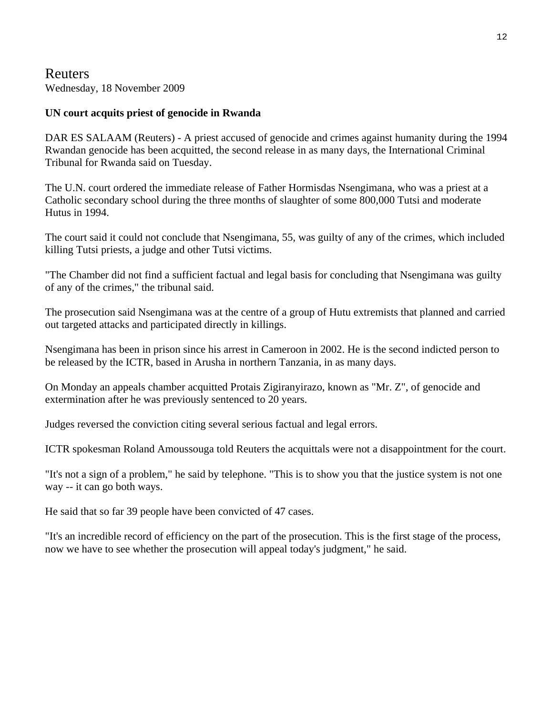## Reuters

Wednesday, 18 November 2009

## **UN court acquits priest of genocide in Rwanda**

DAR ES SALAAM (Reuters) - A priest accused of genocide and crimes against humanity during the 1994 Rwandan genocide has been acquitted, the second release in as many days, the International Criminal Tribunal for Rwanda said on Tuesday.

The U.N. court ordered the immediate release of Father Hormisdas Nsengimana, who was a priest at a Catholic secondary school during the three months of slaughter of some 800,000 Tutsi and moderate Hutus in 1994.

The court said it could not conclude that Nsengimana, 55, was guilty of any of the crimes, which included killing Tutsi priests, a judge and other Tutsi victims.

"The Chamber did not find a sufficient factual and legal basis for concluding that Nsengimana was guilty of any of the crimes," the tribunal said.

The prosecution said Nsengimana was at the centre of a group of Hutu extremists that planned and carried out targeted attacks and participated directly in killings.

Nsengimana has been in prison since his arrest in Cameroon in 2002. He is the second indicted person to be released by the ICTR, based in Arusha in northern Tanzania, in as many days.

On Monday an appeals chamber acquitted Protais Zigiranyirazo, known as "Mr. Z", of genocide and extermination after he was previously sentenced to 20 years.

Judges reversed the conviction citing several serious factual and legal errors.

ICTR spokesman Roland Amoussouga told Reuters the acquittals were not a disappointment for the court.

"It's not a sign of a problem," he said by telephone. "This is to show you that the justice system is not one way -- it can go both ways.

He said that so far 39 people have been convicted of 47 cases.

"It's an incredible record of efficiency on the part of the prosecution. This is the first stage of the process, now we have to see whether the prosecution will appeal today's judgment," he said.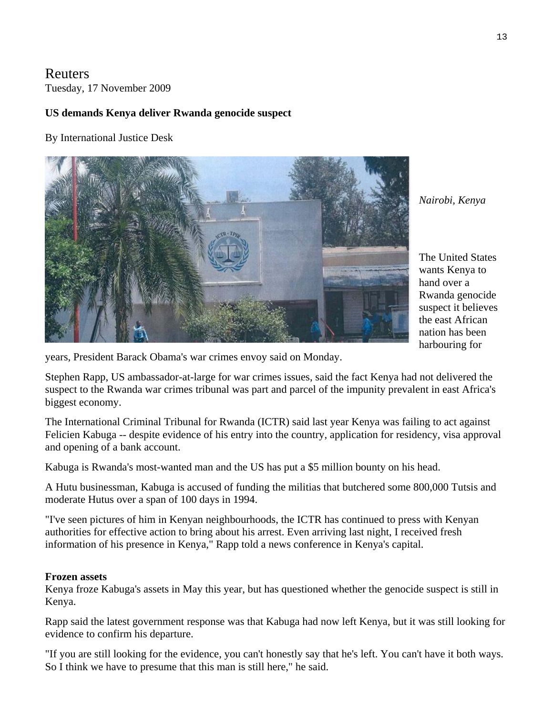## Reuters Tuesday, 17 November 2009

## **US demands Kenya deliver Rwanda genocide suspect**

### By International Justice Desk



*Nairobi, Kenya* 

The United States wants Kenya to hand over a Rwanda genocide suspect it believes the east African nation has been harbouring for

years, President Barack Obama's war crimes envoy said on Monday.

Stephen Rapp, US ambassador-at-large for war crimes issues, said the fact Kenya had not delivered the suspect to the Rwanda war crimes tribunal was part and parcel of the impunity prevalent in east Africa's biggest economy.

The International Criminal Tribunal for Rwanda (ICTR) said last year Kenya was failing to act against Felicien Kabuga -- despite evidence of his entry into the country, application for residency, visa approval and opening of a bank account.

Kabuga is Rwanda's most-wanted man and the US has put a \$5 million bounty on his head.

A Hutu businessman, Kabuga is accused of funding the militias that butchered some 800,000 Tutsis and moderate Hutus over a span of 100 days in 1994.

"I've seen pictures of him in Kenyan neighbourhoods, the ICTR has continued to press with Kenyan authorities for effective action to bring about his arrest. Even arriving last night, I received fresh information of his presence in Kenya," Rapp told a news conference in Kenya's capital.

## **Frozen assets**

Kenya froze Kabuga's assets in May this year, but has questioned whether the genocide suspect is still in Kenya.

Rapp said the latest government response was that Kabuga had now left Kenya, but it was still looking for evidence to confirm his departure.

"If you are still looking for the evidence, you can't honestly say that he's left. You can't have it both ways. So I think we have to presume that this man is still here," he said.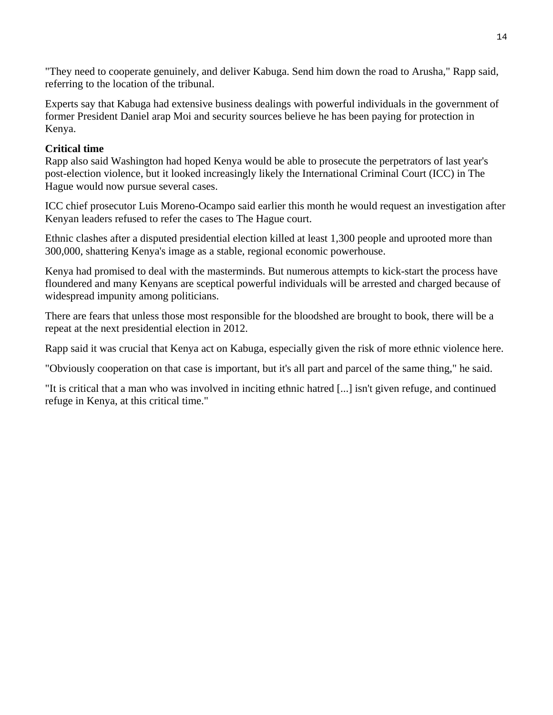"They need to cooperate genuinely, and deliver Kabuga. Send him down the road to Arusha," Rapp said, referring to the location of the tribunal.

Experts say that Kabuga had extensive business dealings with powerful individuals in the government of former President Daniel arap Moi and security sources believe he has been paying for protection in Kenya.

## **Critical time**

Rapp also said Washington had hoped Kenya would be able to prosecute the perpetrators of last year's post-election violence, but it looked increasingly likely the International Criminal Court (ICC) in The Hague would now pursue several cases.

ICC chief prosecutor Luis Moreno-Ocampo said earlier this month he would request an investigation after Kenyan leaders refused to refer the cases to The Hague court.

Ethnic clashes after a disputed presidential election killed at least 1,300 people and uprooted more than 300,000, shattering Kenya's image as a stable, regional economic powerhouse.

Kenya had promised to deal with the masterminds. But numerous attempts to kick-start the process have floundered and many Kenyans are sceptical powerful individuals will be arrested and charged because of widespread impunity among politicians.

There are fears that unless those most responsible for the bloodshed are brought to book, there will be a repeat at the next presidential election in 2012.

Rapp said it was crucial that Kenya act on Kabuga, especially given the risk of more ethnic violence here.

"Obviously cooperation on that case is important, but it's all part and parcel of the same thing," he said.

"It is critical that a man who was involved in inciting ethnic hatred [...] isn't given refuge, and continued refuge in Kenya, at this critical time."